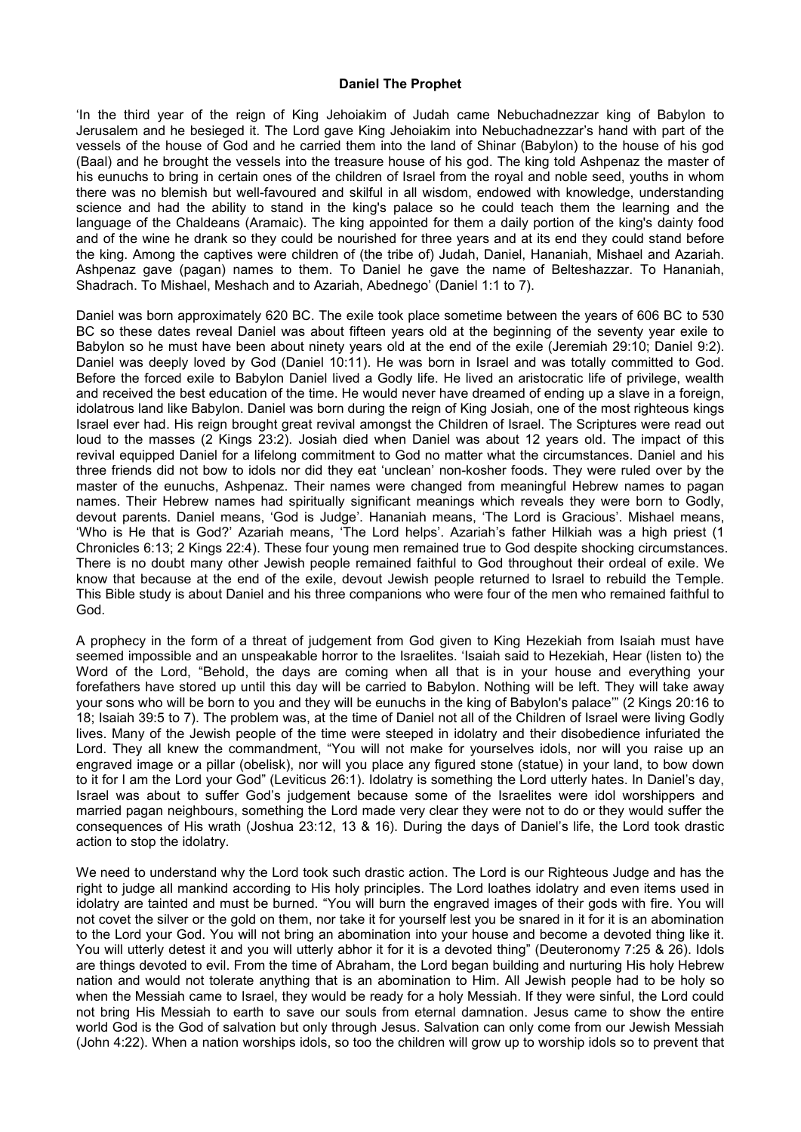## **Daniel The Prophet**

'In the third year of the reign of King Jehoiakim of Judah came Nebuchadnezzar king of Babylon to Jerusalem and he besieged it. The Lord gave King Jehoiakim into Nebuchadnezzar's hand with part of the vessels of the house of God and he carried them into the land of Shinar (Babylon) to the house of his god (Baal) and he brought the vessels into the treasure house of his god. The king told Ashpenaz the master of his eunuchs to bring in certain ones of the children of Israel from the royal and noble seed, youths in whom there was no blemish but well-favoured and skilful in all wisdom, endowed with knowledge, understanding science and had the ability to stand in the king's palace so he could teach them the learning and the language of the Chaldeans (Aramaic). The king appointed for them a daily portion of the king's dainty food and of the wine he drank so they could be nourished for three years and at its end they could stand before the king. Among the captives were children of (the tribe of) Judah, Daniel, Hananiah, Mishael and Azariah. Ashpenaz gave (pagan) names to them. To Daniel he gave the name of Belteshazzar. To Hananiah, Shadrach. To Mishael, Meshach and to Azariah, Abednego' (Daniel 1:1 to 7).

Daniel was born approximately 620 BC. The exile took place sometime between the years of 606 BC to 530 BC so these dates reveal Daniel was about fifteen years old at the beginning of the seventy year exile to Babylon so he must have been about ninety years old at the end of the exile (Jeremiah 29:10; Daniel 9:2). Daniel was deeply loved by God (Daniel 10:11). He was born in Israel and was totally committed to God. Before the forced exile to Babylon Daniel lived a Godly life. He lived an aristocratic life of privilege, wealth and received the best education of the time. He would never have dreamed of ending up a slave in a foreign, idolatrous land like Babylon. Daniel was born during the reign of King Josiah, one of the most righteous kings Israel ever had. His reign brought great revival amongst the Children of Israel. The Scriptures were read out loud to the masses (2 Kings 23:2). Josiah died when Daniel was about 12 years old. The impact of this revival equipped Daniel for a lifelong commitment to God no matter what the circumstances. Daniel and his three friends did not bow to idols nor did they eat 'unclean' non-kosher foods. They were ruled over by the master of the eunuchs, Ashpenaz. Their names were changed from meaningful Hebrew names to pagan names. Their Hebrew names had spiritually significant meanings which reveals they were born to Godly, devout parents. Daniel means, 'God is Judge'. Hananiah means, 'The Lord is Gracious'. Mishael means, 'Who is He that is God?' Azariah means, 'The Lord helps'. Azariah's father Hilkiah was a high priest (1 Chronicles 6:13; 2 Kings 22:4). These four young men remained true to God despite shocking circumstances. There is no doubt many other Jewish people remained faithful to God throughout their ordeal of exile. We know that because at the end of the exile, devout Jewish people returned to Israel to rebuild the Temple. This Bible study is about Daniel and his three companions who were four of the men who remained faithful to God.

A prophecy in the form of a threat of judgement from God given to King Hezekiah from Isaiah must have seemed impossible and an unspeakable horror to the Israelites. 'Isaiah said to Hezekiah, Hear (listen to) the Word of the Lord, "Behold, the days are coming when all that is in your house and everything your forefathers have stored up until this day will be carried to Babylon. Nothing will be left. They will take away your sons who will be born to you and they will be eunuchs in the king of Babylon's palace'" (2 Kings 20:16 to 18; Isaiah 39:5 to 7). The problem was, at the time of Daniel not all of the Children of Israel were living Godly lives. Many of the Jewish people of the time were steeped in idolatry and their disobedience infuriated the Lord. They all knew the commandment, "You will not make for yourselves idols, nor will you raise up an engraved image or a pillar (obelisk), nor will you place any figured stone (statue) in your land, to bow down to it for I am the Lord your God" (Leviticus 26:1). Idolatry is something the Lord utterly hates. In Daniel's day, Israel was about to suffer God's judgement because some of the Israelites were idol worshippers and married pagan neighbours, something the Lord made very clear they were notto do or they would suffer the consequences of His wrath (Joshua 23:12, 13 & 16). During the days of Daniel's life, the Lord took drastic action to stop the idolatry.

We need to understand why the Lord took such drastic action. The Lord is our Righteous Judge and has the right to judge all mankind according to His holy principles. The Lord loathes idolatry and even items used in idolatry are tainted and must be burned. "You will burn the engraved images of their gods with fire. You will not covet the silver or the gold on them, nor take it for yourself lest you be snared in it for it is an abomination to the Lord your God. You will not bring an abomination into yourhouse and become a devoted thing like it. You will utterly detest it and you will utterly abhor it for it is a devoted thing" (Deuteronomy 7:25 & 26). Idols are things devoted to evil. From the time of Abraham, the Lord began building and nurturing His holy Hebrew nation and would not tolerate anything that is an abomination to Him. All Jewish people had to be holy so when the Messiah came to Israel, they would be ready for a holy Messiah. If they were sinful, the Lord could not bring His Messiah to earth to save our souls from eternal damnation. Jesus came to show the entire world God is the God of salvation but only through Jesus. Salvation can only come from our Jewish Messiah (John 4:22). When a nation worships idols, so too the children will grow up to worship idols so to prevent that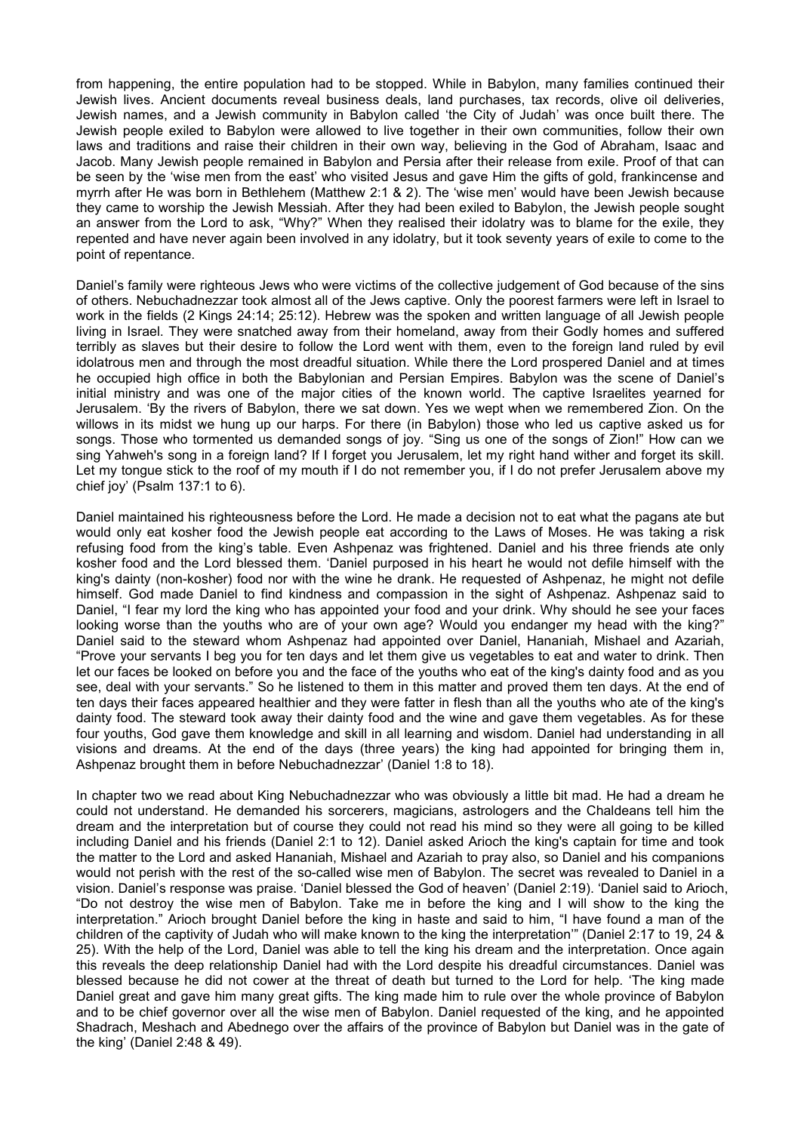from happening, the entire population had to be stopped. While in Babylon, many families continued their Jewish lives. Ancient documents reveal business deals, land purchases, tax records, olive oil deliveries, Jewish names, and a Jewish community in Babylon called 'the City of Judah' was once built there.The Jewish people exiled to Babylon were allowed to live together in their own communities, follow their own laws and traditions and raise their children in their own way, believing in the God of Abraham, Isaac and Jacob. Many Jewish people remained in Babylon and Persia after their release from exile. Proof of that can be seen by the 'wise men from the east' who visited Jesus and gave Him the gifts of gold, frankincense and myrrh after He was born in Bethlehem (Matthew 2:1 & 2). The 'wise men' would have been Jewish because they came to worship the Jewish Messiah. After they had been exiled to Babylon, the Jewish people sought an answer from the Lord to ask, "Why?" When they realised their idolatry was to blame for the exile, they repented and have never again been involved in any idolatry, but it took seventy years of exile to come to the point of repentance.

Daniel's family were righteous Jews who were victims of the collective judgement of God because of the sins of others. Nebuchadnezzar took almost all of the Jews captive. Only the poorest farmers were left in Israel to work in the fields (2 Kings 24:14; 25:12). Hebrew was the spoken and written language of all Jewish people living in Israel. They were snatched away from their homeland, away from their Godly homes and suffered terribly as slaves but their desire to follow the Lord went with them, even to the foreign land ruled by evil idolatrous men and through the most dreadful situation. While there the Lord prospered Daniel and at times he occupied high office in both the Babylonian and Persian Empires. Babylon was the scene of Daniel's initial ministry and was one of the major cities of the known world. The captive Israelites yearned for Jerusalem. 'By the rivers of Babylon, there we sat down. Yes we wept when we remembered Zion. On the willows in its midst we hung up our harps. For there (in Babylon) those who led us captive asked us for songs. Those who tormented us demanded songs of joy. "Sing us one of the songs of Zion!" How can we sing Yahweh's song in a foreign land? If I forget you Jerusalem, let my right hand wither and forget its skill. Let my tongue stick to the roof of my mouth if I do not remember you, if I do not prefer Jerusalem above my chief joy' (Psalm 137:1 to 6).

Daniel maintained his righteousness before the Lord. He made a decision not to eat what the pagans ate but would only eat kosher food the Jewish people eat according to the Laws of Moses. He was taking a risk refusing food from the king's table. Even Ashpenaz was frightened. Daniel and his three friends ate only kosher food and the Lord blessed them. 'Daniel purposed in his heart he would not defile himself with the king's dainty (non-kosher) food nor with the wine he drank. He requested of Ashpenaz, he might not defile himself. God made Daniel to find kindness and compassion in the sight of Ashpenaz. Ashpenaz said to Daniel, "I fear my lord the king who has appointed your food and your drink. Why should he see your faces looking worse than the youths who are of your own age? Would you endanger my head with the king?" Daniel said to the steward whom Ashpenaz had appointed over Daniel, Hananiah, Mishael and Azariah, "Prove your servants I beg you for ten days and let them give us vegetables to eat and water to drink. Then let our faces be looked on before you and the face of the youths who eat of the king's dainty food and as you see, deal with your servants." So he listened to them in this matterand proved them ten days. At the end of ten days their faces appeared healthier and they were fatter in flesh than all the youths who ate of the king's dainty food. The steward took away their dainty food and the wine and gave them vegetables. As for these four youths, God gave them knowledge and skill in all learning and wisdom. Daniel had understanding in all visions and dreams. At the end of the days (three years) the king had appointed for bringing them in, Ashpenaz brought them in before Nebuchadnezzar' (Daniel 1:8 to 18).

In chapter two we read about King Nebuchadnezzar who was obviously a little bit mad. He had a dream he could not understand. He demanded his sorcerers, magicians, astrologers and the Chaldeans tell him the dream and the interpretation but of course they could not read his mind so they were all going to be killed including Daniel and his friends (Daniel 2:1 to 12). Daniel asked Arioch the king's captain for time and took the matter to the Lord and asked Hananiah, Mishael and Azariah to pray also, so Daniel and his companions would not perish with the rest of the so-called wise men of Babylon. The secret was revealed to Daniel in a vision. Daniel's response was praise.'Daniel blessed the God of heaven' (Daniel 2:19). 'Daniel said to Arioch, "Do not destroy the wise men of Babylon. Take me in before the king and Iwill show to the king the interpretation." Arioch brought Daniel before the king in haste and said to him, "I have found a man of the children of the captivity of Judah who will make known to the king the interpretation'" (Daniel 2:17 to 19, 24 & 25). With the help of the Lord, Daniel was able to tell the king his dream and the interpretation. Once again this reveals the deep relationship Daniel had with the Lord despite his dreadful circumstances. Daniel was blessed because he did not cower at the threat of death but turned to the Lord for help. 'The king made Daniel great and gave him many great gifts. The king made him to rule over the whole province of Babylon and to be chief governor over all the wise men of Babylon. Daniel requested of the king, and he appointed Shadrach, Meshach and Abednego over the affairs of the province of Babylon but Daniel was in the gate of the king' (Daniel 2:48 & 49).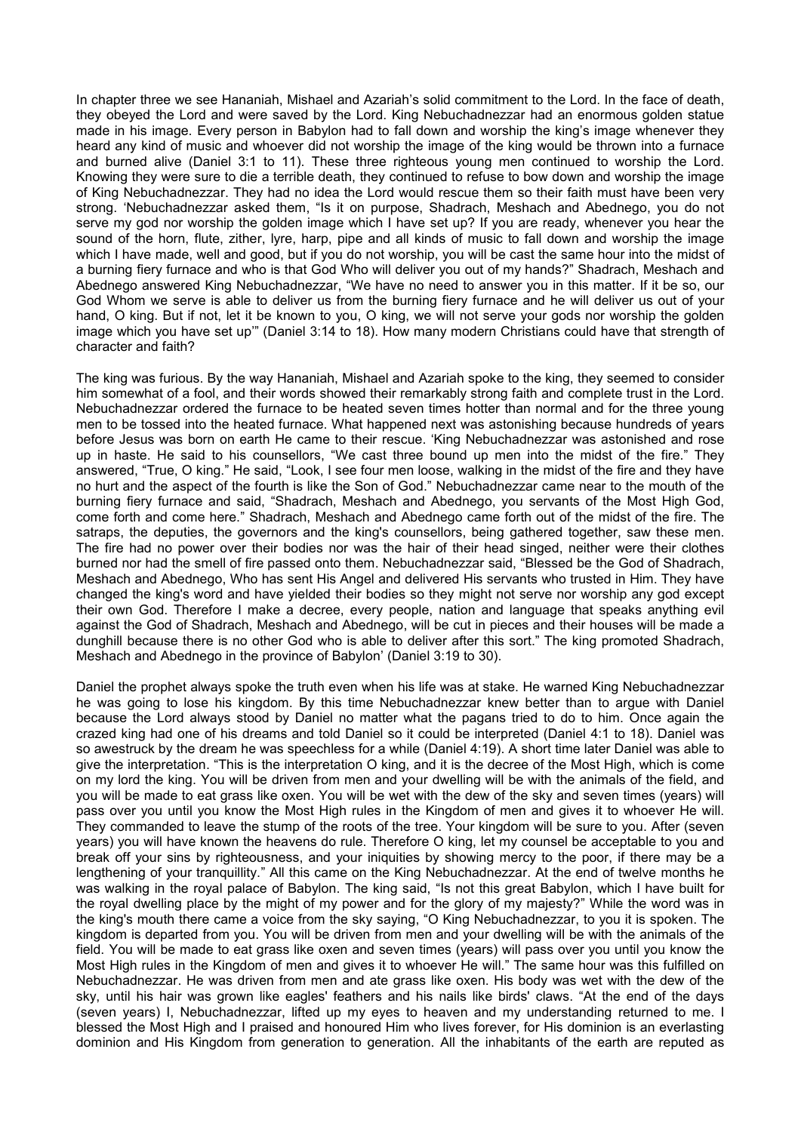In chapter three we see Hananiah, Mishael and Azariah's solid commitment to the Lord. In the face of death, they obeyed the Lord and were saved by the Lord. King Nebuchadnezzar had an enormous golden statue made in his image. Every person in Babylon had to fall down and worship the king's image whenever they heard any kind of music and whoever did not worship the image of the king would be thrown into a furnace and burned alive (Daniel 3:1 to 11). These three righteous young men continued to worship the Lord. Knowing they were sure to die a terrible death, they continued to refuse to bow down and worship the image of King Nebuchadnezzar. They had no idea the Lord would rescue them so their faith must have been very strong. 'Nebuchadnezzar asked them, "Is it on purpose, Shadrach, Meshach and Abednego, you do not serve my god nor worship the golden image which I have set up? If you are ready, whenever you hear the sound of the horn, flute, zither, lyre, harp, pipe and all kinds of music to fall down and worship the image which I have made, well and good, but if you do not worship, you will be cast the same hour into the midst of a burning fiery furnace and who is that God Who will deliver you out of my hands?" Shadrach, Meshach and Abednego answered King Nebuchadnezzar, "We have no need to answer you in this matter. If it be so, our God Whom we serve is able to deliver us from the burning fiery furnace and he will deliver us out of your hand, O king. But if not, let it be known to you, O king, we will not serve your gods nor worship the golden image which you have set up'" (Daniel 3:14 to 18). How many modern Christians could have that strength of character and faith?

The king was furious. By the way Hananiah, Mishael and Azariah spoke to the king, they seemed to consider him somewhat of a fool, and their words showed their remarkably strong faith and complete trust in the Lord. Nebuchadnezzar ordered the furnace to be heated seven times hotter than normal and for the three young men to be tossed into the heated furnace. What happened next was astonishing because hundreds of years before Jesus was born on earth He came to their rescue. 'King Nebuchadnezzar was astonished and rose up in haste. He said to his counsellors, "We cast three bound up men into the midst of the fire." They answered, "True, O king." He said, "Look, I see four men loose, walking in the midst of the fire and they have no hurt and the aspect of the fourth islike the Son of God." Nebuchadnezzar came near to the mouth of the burning fiery furnace and said, "Shadrach, Meshach and Abednego, you servants of the Most High God, come forth and come here." Shadrach, Meshach and Abednego came forth out of the midst of the fire. The satraps, the deputies, the governors and the king's counsellors, being gathered together, saw these men. The fire had no power over their bodies nor was the hair of their head singed, neither were their clothes burned nor had the smell of fire passed onto them. Nebuchadnezzar said, "Blessed be the God of Shadrach, Meshach and Abednego, Who has sent His Angel and delivered His servants who trusted in Him. They have changed the king's word and have yielded their bodies so they might not serve nor worship any god except their own God. Therefore I make a decree, every people, nation and language that speaks anything evil against the God of Shadrach, Meshach and Abednego, will be cut in pieces and their houses will be made a dunghill because there is no other God who is able to deliver after this sort." The king promoted Shadrach, Meshach and Abednego in the province of Babylon' (Daniel 3:19 to 30).

Daniel the prophet always spoke the truth even when his life was at stake. He warned King Nebuchadnezzar he was going to lose his kingdom. By this time Nebuchadnezzar knew better than to argue with Daniel because the Lord always stood by Daniel no matter what the pagans tried to do to him. Once again the crazed king had one of his dreams and told Daniel so it could be interpreted (Daniel 4:1 to 18). Daniel was so awestruck by the dream he was speechless for a while (Daniel 4:19). A short time later Daniel was able to give the interpretation. "This is the interpretation O king, and it is the decree of the Most High, which is come on my lord the king. You will be driven from men and your dwelling will be with the animals of the field, and you will be made to eat grass like oxen. You will be wet with the dew of the sky and seven times (years) will pass over you until you know the Most High rules in the Kingdom of men and gives it to whoever He will. They commanded to leave the stump of the roots of the tree. Your kingdom will be sure to you. After (seven years) you will have known the heavens do rule. Therefore O king, let my counsel be acceptable to you and break off your sins by righteousness, and your iniquities by showing mercy to the poor, if there may be a lengthening of your tranquillity." All this came on the King Nebuchadnezzar. At the end of twelve months he was walking in the royal palace of Babylon. The king said, "Is not this great Babylon, which I have built for the royal dwelling place by the might of my power and for the glory of my majesty?" While the word was in the king's mouth there came a voice from the sky saying,"O King Nebuchadnezzar, to you it is spoken. The kingdom is departed from you. You will be driven from men and your dwelling will be with the animals of the field. You will be made to eat grass like oxen and seven times (years) will pass over you until you know the Most High rules in the Kingdom of men and gives it to whoever He will." The same hour was this fulfilled on Nebuchadnezzar. He was driven from men and ate grass like oxen. His body was wet with the dew of the sky, until his hair was grown like eagles' feathers and his nails like birds' claws. "At the end of the days (seven years) I, Nebuchadnezzar, lifted up my eyes to heaven and my understanding returned to me. I blessed the Most High and I praised and honoured Him who lives forever, for His dominion is an everlasting dominion and His Kingdom from generation to generation. All the inhabitants of the earth are reputed as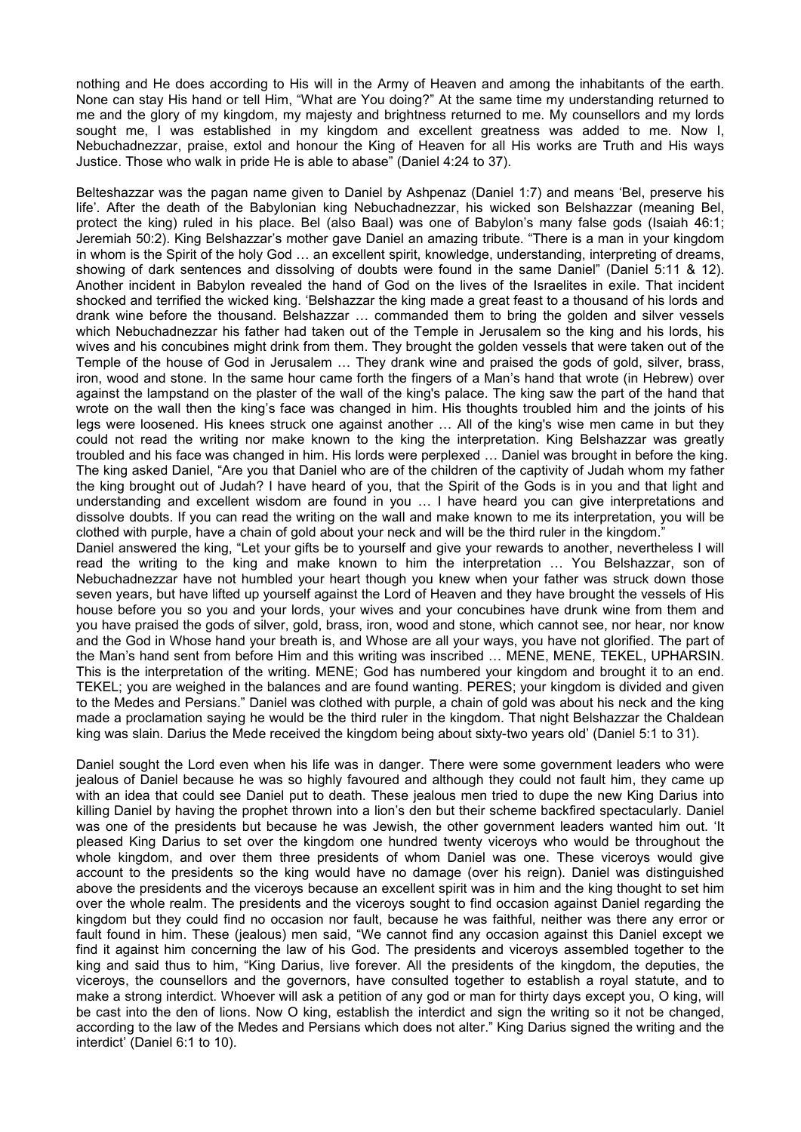nothing and He does according to His will in the Army of Heaven and among the inhabitants of the earth. None can stay His hand or tell Him,"What are You doing?" At the same time my understanding returned to me and the glory of my kingdom, my majesty and brightness returned to me. My counsellors and my lords sought me, I was established in my kingdom and excellent greatness was added to me. Now I, Nebuchadnezzar, praise, extol and honour the King of Heaven for all His works are Truth and His ways Justice. Those who walk in pride He is able to abase" (Daniel 4:24 to 37).

Belteshazzar was the pagan name given to Daniel by Ashpenaz (Daniel 1:7) and means 'Bel, preserve his life'. After the death of the Babylonian king Nebuchadnezzar, his wicked son Belshazzar (meaning Bel, protect the king) ruled in his place. Bel (also Baal) was one of Babylon's many false gods (Isaiah 46:1; Jeremiah 50:2). King Belshazzar's mother gave Daniel an amazing tribute. "There is a man in your kingdom in whom is the Spirit of the holy God ... an excellent spirit, knowledge, understanding, interpreting of dreams, showing of dark sentences and dissolving of doubts were found in the same Daniel" (Daniel 5:11 & 12). Another incident in Babylon revealed the hand of God on the lives of the Israelites in exile. That incident shocked and terrified the wicked king. 'Belshazzar the king made a great feast to a thousand of his lords and drank wine before the thousand. Belshazzar … commanded them to bring the golden and silver vessels which Nebuchadnezzar his father had taken out of the Temple in Jerusalem so the king and his lords, his wives and his concubines might drink from them. They brought the golden vessels that were taken out of the Temple of the house of God in Jerusalem … They drank wine and praised the gods of gold, silver, brass, iron, wood and stone. In the same hour came forth the fingers of a Man's hand that wrote (in Hebrew) over against the lampstand on the plaster of the wall of the king's palace. The king saw the part of the hand that wrote on the wall then the king's face was changed in him. His thoughts troubled him and the joints of his legs were loosened. His knees struck one against another … All of the king's wise men came in but they could not read the writing nor make known to the king the interpretation. King Belshazzar was greatly troubled and his face was changed in him. His lords were perplexed … Daniel was brought in before the king. The king asked Daniel, "Are you that Daniel who are of the children of the captivity of Judah whom my father the king brought out of Judah? I have heard of you, that the Spirit of the Gods is in you and that light and understanding and excellent wisdom are found in you … I have heard youcan give interpretations and dissolve doubts. If you can read the writing on the wall and make known to me its interpretation, you will be clothed with purple, have a chain of gold about your neck and will be the third ruler in the kingdom." Daniel answered the king, "Let your gifts be to yourself and give your rewards to another, nevertheless I will read the writing to the king and make known to him the interpretation … You Belshazzar, son of Nebuchadnezzar have not humbled your heart though you knew when your father was struck down those seven years, but have lifted up yourself against the Lord of Heaven and they have brought the vessels of His house before you so you and your lords, your wives and your concubines have drunk wine from them and

you have praised the gods of silver, gold, brass, iron, wood and stone, which cannot see, nor hear, nor know and the God in Whose hand your breath is, and Whose are all your ways, you have not glorified. The part of the Man's hand sent from before Him and this writing was inscribed … MENE, MENE, TEKEL, UPHARSIN. This is the interpretation of the writing. MENE; God has numbered your kingdom and brought it to an end. TEKEL; you are weighed in the balances and are found wanting. PERES; your kingdom is divided and given to the Medes and Persians." Daniel was clothed with purple, a chain of gold was about his neck and the king made a proclamation saying he would be the third ruler in the kingdom. That night Belshazzar the Chaldean king was slain. Darius the Mede received the kingdom being about sixty-two years old' (Daniel 5:1 to 31).

Daniel sought the Lord even when his life was in danger. There were some government leaders who were jealous of Daniel because he was so highly favoured and although they could not fault him, they came up with an idea that could see Daniel put to death. These jealous men tried to dupe the new King Darius into killing Daniel by having the prophet thrown into a lion's den but their scheme backfired spectacularly. Daniel was one of the presidents but because he was Jewish, the other government leaders wanted him out. 'It pleased King Darius to set over the kingdom one hundred twenty viceroys who would be throughout the whole kingdom, and over them three presidents of whom Daniel was one. These viceroys would give account to the presidents so the king would have no damage (over his reign). Daniel was distinguished above the presidents and the viceroys because an excellent spirit was in him and the king thought to set him over the whole realm. The presidents and the viceroys sought to find occasion against Daniel regarding the kingdom but they could find no occasion nor fault, because he was faithful, neither was there any error or fault found in him. These (jealous) men said, "We cannot find any occasion against this Daniel except we find it against him concerning the law of his God. The presidents and viceroys assembled together to the king and said thus to him, "King Darius, live forever. All the presidents of the kingdom, the deputies, the viceroys, the counsellors and the governors, have consulted together to establish a royal statute, and to make a strong interdict. Whoever will ask a petition of any god orman for thirty days except you, O king, will be cast into the den of lions. Now O king, establish the interdict and sign the writing so it not be changed, according to the law of the Medes and Persians which does not alter." King Darius signed the writing and the interdict' (Daniel 6:1 to 10).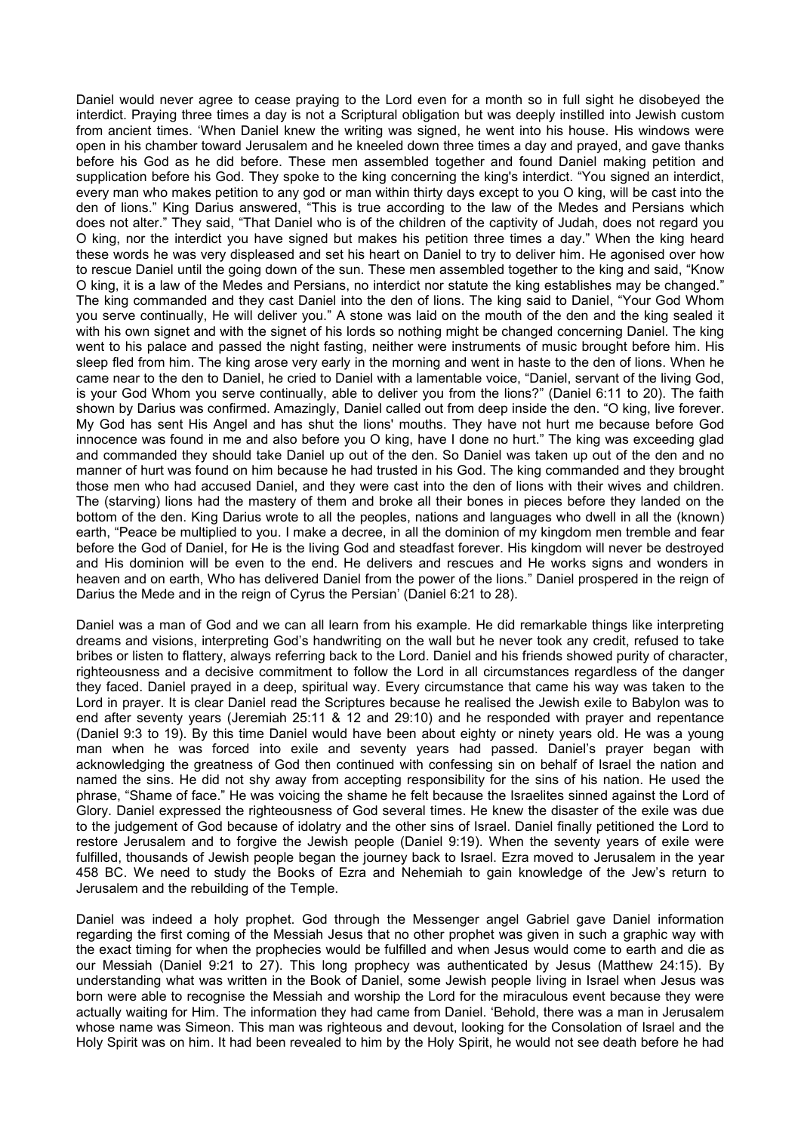Daniel would never agree to cease praying to the Lord even for a month so in full sight he disobeyed the interdict. Praying three times a day is not a Scriptural obligation but was deeply instilled into Jewish custom from ancient times. 'When Daniel knew the writing was signed, he went into his house. His windows were open in his chamber toward Jerusalem and he kneeled down three times a day and prayed, and gave thanks before his God as he did before. These men assembled together and found Daniel making petition and supplication before his God. They spoke to the king concerning the king's interdict. "You signed an interdict, every man who makes petition to any god or man within thirty days except to you O king, will be cast into the den of lions." King Darius answered, "This is true according to the law of the Medes and Persians which does not alter." They said, "That Daniel who is of the children of the captivity of Judah, does not regard you O king, nor the interdict you have signed but makes his petition three times a day." When the king heard these words he was very displeased and set his heart on Daniel to try to deliver him. He agonised over how to rescue Daniel until the going down of the sun. These men assembled together to the king and said, "Know O king, it is a law of the Medes and Persians, no interdict nor statute the king establishes may be changed." The king commanded and they cast Daniel into the den of lions. The king said to Daniel, "Your God Whom you serve continually, He will deliver you." A stone was laid on the mouth of the den and the king sealed it with his own signet and with the signet of his lords so nothing might be changed concerning Daniel. The king went to his palace and passed the night fasting, neither were instruments of music brought before him. His sleep fled from him. The king arose very early in the morning and went in haste to the den of lions. When he came near to the den to Daniel, he cried to Daniel with a lamentable voice, "Daniel, servant of the living God, is your God Whom you serve continually, able to deliver you from the lions?" (Daniel 6:11 to 20). The faith shown by Darius was confirmed. Amazingly, Daniel called out from deep inside the den. "O king, live forever. My God has sent His Angel and has shut the lions' mouths. They have not hurt me because before God innocence was found in me and also before you O king, have I done no hurt." The king was exceeding glad and commanded they should take Daniel up out of the den. So Daniel was taken up out of the den and no manner of hurt was found on him because he had trusted in his God. The king commanded and they brought those men who had accused Daniel, and they were cast into the den of lions with their wives and children. The (starving) lions had the mastery of them and broke all their bones in pieces before they landed on the bottom of the den. King Darius wrote to all the peoples, nations and languages who dwell in all the (known) earth, "Peace be multiplied to you. I make a decree, in all the dominion of my kingdom men tremble and fear before the God of Daniel, for He is the living God and steadfast forever. His kingdom will never be destroyed and His dominion will be even to the end. He delivers and rescues and He works signs and wonders in heaven and on earth, Who has delivered Daniel from the power of the lions." Daniel prospered in the reign of Darius the Mede and in the reign of Cyrus the Persian' (Daniel 6:21 to 28).

Daniel was a man of God and we can all learn from his example. He did remarkable things like interpreting dreams and visions, interpreting God's handwriting on the wall but he never took any credit, refused to take bribes or listen to flattery, always referring back to the Lord. Daniel and his friends showed purity of character, righteousness and a decisive commitment to follow the Lord in all circumstances regardless of the danger they faced. Daniel prayed in a deep, spiritual way. Every circumstance that came his way was taken to the Lord in prayer. It is clear Daniel read the Scriptures because he realised the Jewish exile to Babylon was to end after seventy years (Jeremiah 25:11 & 12 and 29:10) and he responded with prayer and repentance (Daniel 9:3 to 19). By this time Daniel would have been about eighty or ninety years old. He was a young man when he was forced into exile and seventy years had passed. Daniel's prayer began with acknowledging the greatness of God then continued with confessing sin on behalf of Israel the nation and named the sins. He did not shy away from accepting responsibility for the sins of his nation. He used the phrase, "Shame of face." He was voicing the shame he felt because the Israelites sinned against the Lord of Glory. Daniel expressed the righteousness of God several times. He knew the disaster of the exile was due to the judgement of God because of idolatry and the other sins of Israel. Daniel finally petitioned the Lord to restore Jerusalem and to forgive the Jewish people (Daniel 9:19). When the seventy years of exile were fulfilled, thousands of Jewish people began the journey back to Israel.Ezra moved to Jerusalem in the year 458 BC. We need to study the Books of Ezra and Nehemiah to gain knowledge of the Jew's return to Jerusalem and the rebuilding of the Temple.

Daniel was indeed a holy prophet. God through the Messenger angel Gabriel gave Daniel information regarding the first coming of the Messiah Jesus that no other prophet was given in such a graphic way with the exact timing for when the prophecies would be fulfilled and when Jesus would come to earth and die as our Messiah (Daniel 9:21 to 27). This long prophecy was authenticated by Jesus (Matthew 24:15). By understanding what was written in the Book of Daniel, some Jewish people living in Israel when Jesus was born were able to recognise the Messiah and worship the Lord for the miraculous event because they were actually waiting for Him. The information they had came from Daniel. 'Behold, there was a man in Jerusalem whose name was Simeon. This man was righteous and devout, looking for the Consolation of Israel and the Holy Spirit was on him. It had been revealed to him by the Holy Spirit, he would not see death before he had